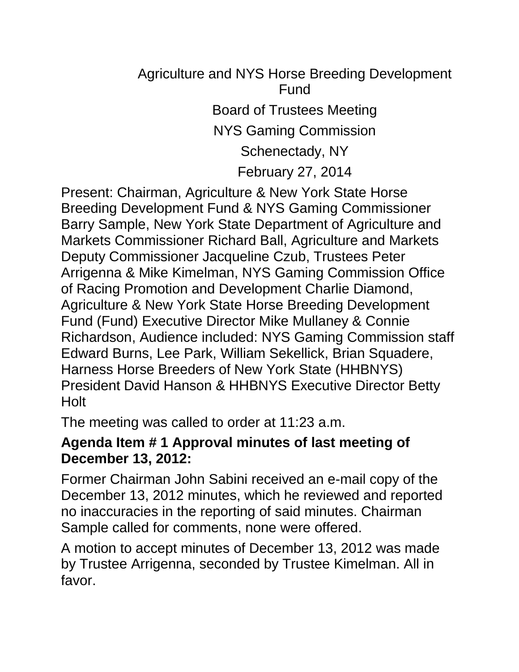# Agriculture and NYS Horse Breeding Development Fund Board of Trustees Meeting NYS Gaming Commission Schenectady, NY February 27, 2014

Present: Chairman, Agriculture & New York State Horse Breeding Development Fund & NYS Gaming Commissioner Barry Sample, New York State Department of Agriculture and Markets Commissioner Richard Ball, Agriculture and Markets Deputy Commissioner Jacqueline Czub, Trustees Peter Arrigenna & Mike Kimelman, NYS Gaming Commission Office of Racing Promotion and Development Charlie Diamond, Agriculture & New York State Horse Breeding Development Fund (Fund) Executive Director Mike Mullaney & Connie Richardson, Audience included: NYS Gaming Commission staff Edward Burns, Lee Park, William Sekellick, Brian Squadere, Harness Horse Breeders of New York State (HHBNYS) President David Hanson & HHBNYS Executive Director Betty Holt

The meeting was called to order at 11:23 a.m.

### **Agenda Item # 1 Approval minutes of last meeting of December 13, 2012:**

Former Chairman John Sabini received an e-mail copy of the December 13, 2012 minutes, which he reviewed and reported no inaccuracies in the reporting of said minutes. Chairman Sample called for comments, none were offered.

A motion to accept minutes of December 13, 2012 was made by Trustee Arrigenna, seconded by Trustee Kimelman. All in favor.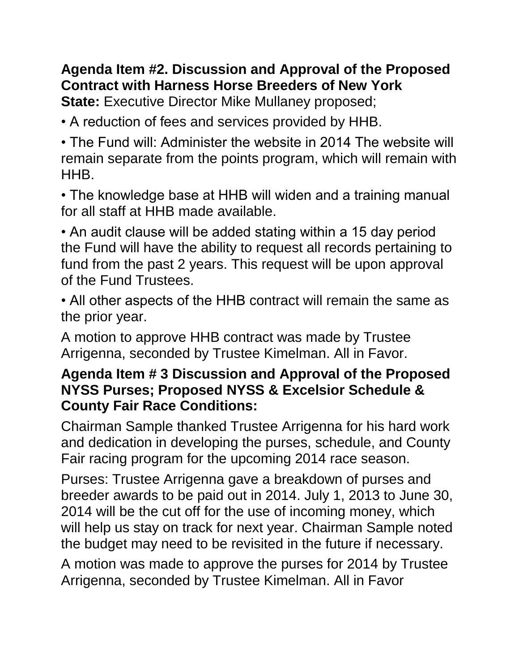## **Agenda Item #2. Discussion and Approval of the Proposed Contract with Harness Horse Breeders of New York**

**State:** Executive Director Mike Mullaney proposed;

• A reduction of fees and services provided by HHB.

• The Fund will: Administer the website in 2014 The website will remain separate from the points program, which will remain with HHB.

• The knowledge base at HHB will widen and a training manual for all staff at HHB made available.

• An audit clause will be added stating within a 15 day period the Fund will have the ability to request all records pertaining to fund from the past 2 years. This request will be upon approval of the Fund Trustees.

• All other aspects of the HHB contract will remain the same as the prior year.

A motion to approve HHB contract was made by Trustee Arrigenna, seconded by Trustee Kimelman. All in Favor.

### **Agenda Item # 3 Discussion and Approval of the Proposed NYSS Purses; Proposed NYSS & Excelsior Schedule & County Fair Race Conditions:**

Chairman Sample thanked Trustee Arrigenna for his hard work and dedication in developing the purses, schedule, and County Fair racing program for the upcoming 2014 race season.

Purses: Trustee Arrigenna gave a breakdown of purses and breeder awards to be paid out in 2014. July 1, 2013 to June 30, 2014 will be the cut off for the use of incoming money, which will help us stay on track for next year. Chairman Sample noted the budget may need to be revisited in the future if necessary.

A motion was made to approve the purses for 2014 by Trustee Arrigenna, seconded by Trustee Kimelman. All in Favor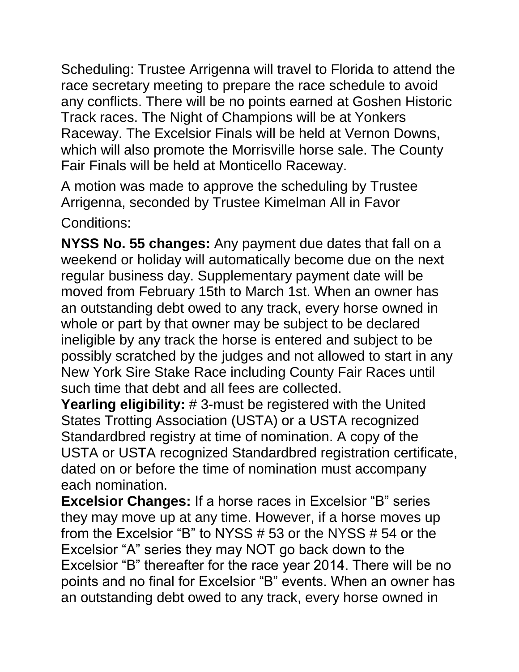Scheduling: Trustee Arrigenna will travel to Florida to attend the race secretary meeting to prepare the race schedule to avoid any conflicts. There will be no points earned at Goshen Historic Track races. The Night of Champions will be at Yonkers Raceway. The Excelsior Finals will be held at Vernon Downs, which will also promote the Morrisville horse sale. The County Fair Finals will be held at Monticello Raceway.

A motion was made to approve the scheduling by Trustee Arrigenna, seconded by Trustee Kimelman All in Favor Conditions:

**NYSS No. 55 changes:** Any payment due dates that fall on a weekend or holiday will automatically become due on the next regular business day. Supplementary payment date will be moved from February 15th to March 1st. When an owner has an outstanding debt owed to any track, every horse owned in whole or part by that owner may be subject to be declared ineligible by any track the horse is entered and subject to be possibly scratched by the judges and not allowed to start in any New York Sire Stake Race including County Fair Races until such time that debt and all fees are collected.

**Yearling eligibility:** # 3-must be registered with the United States Trotting Association (USTA) or a USTA recognized Standardbred registry at time of nomination. A copy of the USTA or USTA recognized Standardbred registration certificate, dated on or before the time of nomination must accompany each nomination.

**Excelsior Changes:** If a horse races in Excelsior "B" series they may move up at any time. However, if a horse moves up from the Excelsior "B" to NYSS # 53 or the NYSS # 54 or the Excelsior "A" series they may NOT go back down to the Excelsior "B" thereafter for the race year 2014. There will be no points and no final for Excelsior "B" events. When an owner has an outstanding debt owed to any track, every horse owned in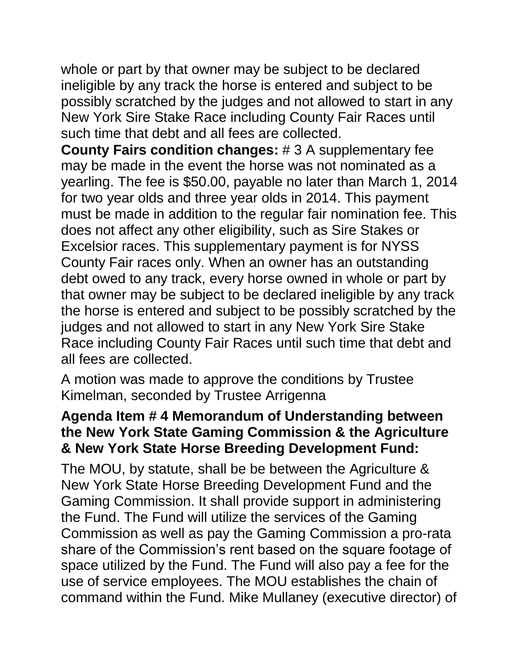whole or part by that owner may be subject to be declared ineligible by any track the horse is entered and subject to be possibly scratched by the judges and not allowed to start in any New York Sire Stake Race including County Fair Races until such time that debt and all fees are collected.

**County Fairs condition changes:** # 3 A supplementary fee may be made in the event the horse was not nominated as a yearling. The fee is \$50.00, payable no later than March 1, 2014 for two year olds and three year olds in 2014. This payment must be made in addition to the regular fair nomination fee. This does not affect any other eligibility, such as Sire Stakes or Excelsior races. This supplementary payment is for NYSS County Fair races only. When an owner has an outstanding debt owed to any track, every horse owned in whole or part by that owner may be subject to be declared ineligible by any track the horse is entered and subject to be possibly scratched by the judges and not allowed to start in any New York Sire Stake Race including County Fair Races until such time that debt and all fees are collected.

A motion was made to approve the conditions by Trustee Kimelman, seconded by Trustee Arrigenna

#### **Agenda Item # 4 Memorandum of Understanding between the New York State Gaming Commission & the Agriculture & New York State Horse Breeding Development Fund:**

The MOU, by statute, shall be be between the Agriculture & New York State Horse Breeding Development Fund and the Gaming Commission. It shall provide support in administering the Fund. The Fund will utilize the services of the Gaming Commission as well as pay the Gaming Commission a pro-rata share of the Commission's rent based on the square footage of space utilized by the Fund. The Fund will also pay a fee for the use of service employees. The MOU establishes the chain of command within the Fund. Mike Mullaney (executive director) of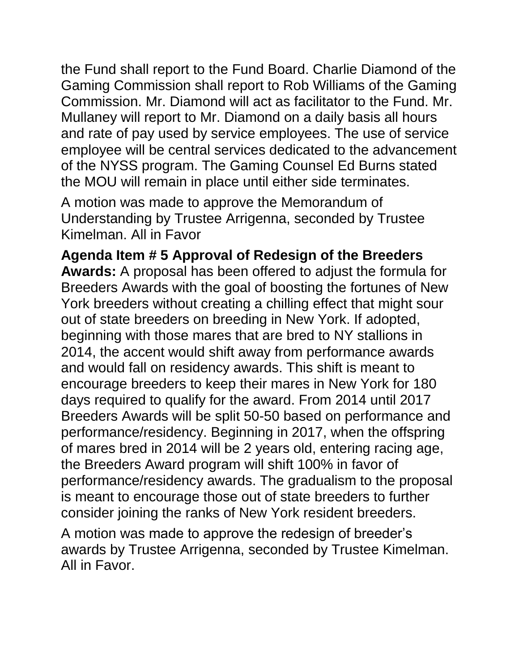the Fund shall report to the Fund Board. Charlie Diamond of the Gaming Commission shall report to Rob Williams of the Gaming Commission. Mr. Diamond will act as facilitator to the Fund. Mr. Mullaney will report to Mr. Diamond on a daily basis all hours and rate of pay used by service employees. The use of service employee will be central services dedicated to the advancement of the NYSS program. The Gaming Counsel Ed Burns stated the MOU will remain in place until either side terminates.

A motion was made to approve the Memorandum of Understanding by Trustee Arrigenna, seconded by Trustee Kimelman. All in Favor

**Agenda Item # 5 Approval of Redesign of the Breeders Awards:** A proposal has been offered to adjust the formula for Breeders Awards with the goal of boosting the fortunes of New York breeders without creating a chilling effect that might sour out of state breeders on breeding in New York. If adopted, beginning with those mares that are bred to NY stallions in 2014, the accent would shift away from performance awards and would fall on residency awards. This shift is meant to encourage breeders to keep their mares in New York for 180 days required to qualify for the award. From 2014 until 2017 Breeders Awards will be split 50-50 based on performance and performance/residency. Beginning in 2017, when the offspring of mares bred in 2014 will be 2 years old, entering racing age, the Breeders Award program will shift 100% in favor of performance/residency awards. The gradualism to the proposal is meant to encourage those out of state breeders to further consider joining the ranks of New York resident breeders.

A motion was made to approve the redesign of breeder's awards by Trustee Arrigenna, seconded by Trustee Kimelman. All in Favor.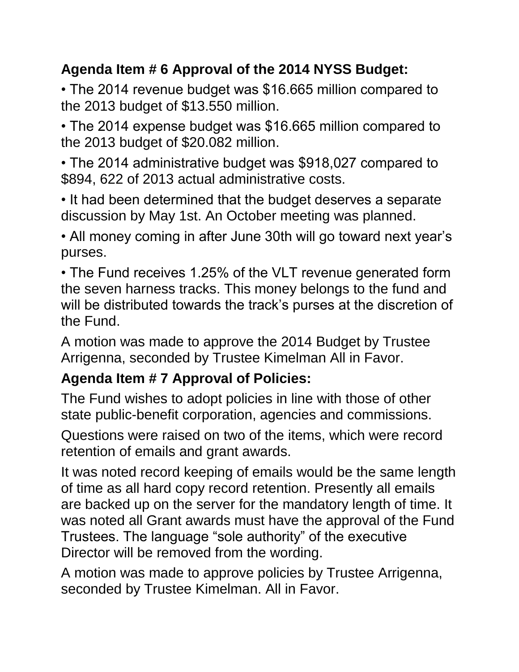## **Agenda Item # 6 Approval of the 2014 NYSS Budget:**

• The 2014 revenue budget was \$16.665 million compared to the 2013 budget of \$13.550 million.

• The 2014 expense budget was \$16.665 million compared to the 2013 budget of \$20.082 million.

• The 2014 administrative budget was \$918,027 compared to \$894, 622 of 2013 actual administrative costs.

• It had been determined that the budget deserves a separate discussion by May 1st. An October meeting was planned.

• All money coming in after June 30th will go toward next year's purses.

• The Fund receives 1.25% of the VLT revenue generated form the seven harness tracks. This money belongs to the fund and will be distributed towards the track's purses at the discretion of the Fund.

A motion was made to approve the 2014 Budget by Trustee Arrigenna, seconded by Trustee Kimelman All in Favor.

## **Agenda Item # 7 Approval of Policies:**

The Fund wishes to adopt policies in line with those of other state public-benefit corporation, agencies and commissions.

Questions were raised on two of the items, which were record retention of emails and grant awards.

It was noted record keeping of emails would be the same length of time as all hard copy record retention. Presently all emails are backed up on the server for the mandatory length of time. It was noted all Grant awards must have the approval of the Fund Trustees. The language "sole authority" of the executive Director will be removed from the wording.

A motion was made to approve policies by Trustee Arrigenna, seconded by Trustee Kimelman. All in Favor.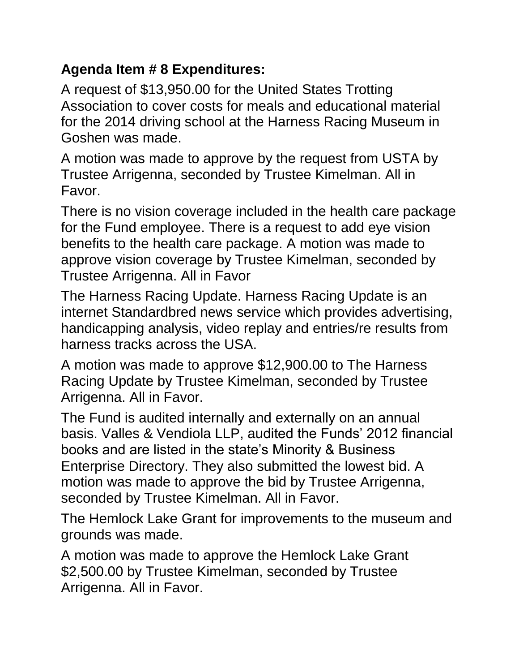### **Agenda Item # 8 Expenditures:**

A request of \$13,950.00 for the United States Trotting Association to cover costs for meals and educational material for the 2014 driving school at the Harness Racing Museum in Goshen was made.

A motion was made to approve by the request from USTA by Trustee Arrigenna, seconded by Trustee Kimelman. All in Favor.

There is no vision coverage included in the health care package for the Fund employee. There is a request to add eye vision benefits to the health care package. A motion was made to approve vision coverage by Trustee Kimelman, seconded by Trustee Arrigenna. All in Favor

The Harness Racing Update. Harness Racing Update is an internet Standardbred news service which provides advertising, handicapping analysis, video replay and entries/re results from harness tracks across the USA.

A motion was made to approve \$12,900.00 to The Harness Racing Update by Trustee Kimelman, seconded by Trustee Arrigenna. All in Favor.

The Fund is audited internally and externally on an annual basis. Valles & Vendiola LLP, audited the Funds' 2012 financial books and are listed in the state's Minority & Business Enterprise Directory. They also submitted the lowest bid. A motion was made to approve the bid by Trustee Arrigenna, seconded by Trustee Kimelman. All in Favor.

The Hemlock Lake Grant for improvements to the museum and grounds was made.

A motion was made to approve the Hemlock Lake Grant \$2,500.00 by Trustee Kimelman, seconded by Trustee Arrigenna. All in Favor.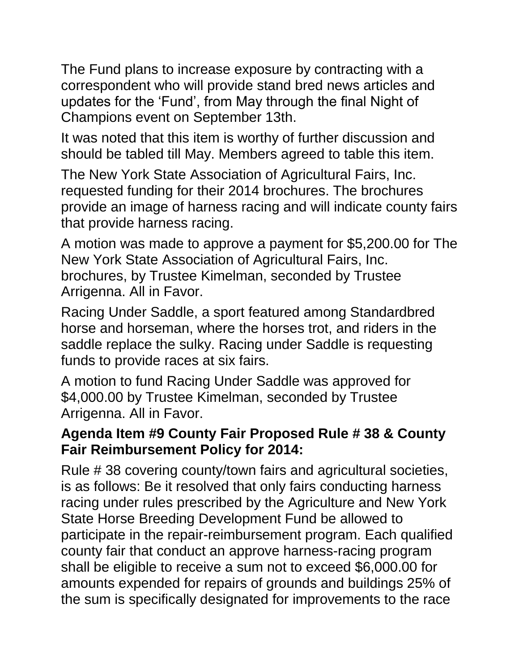The Fund plans to increase exposure by contracting with a correspondent who will provide stand bred news articles and updates for the 'Fund', from May through the final Night of Champions event on September 13th.

It was noted that this item is worthy of further discussion and should be tabled till May. Members agreed to table this item.

The New York State Association of Agricultural Fairs, Inc. requested funding for their 2014 brochures. The brochures provide an image of harness racing and will indicate county fairs that provide harness racing.

A motion was made to approve a payment for \$5,200.00 for The New York State Association of Agricultural Fairs, Inc. brochures, by Trustee Kimelman, seconded by Trustee Arrigenna. All in Favor.

Racing Under Saddle, a sport featured among Standardbred horse and horseman, where the horses trot, and riders in the saddle replace the sulky. Racing under Saddle is requesting funds to provide races at six fairs.

A motion to fund Racing Under Saddle was approved for \$4,000.00 by Trustee Kimelman, seconded by Trustee Arrigenna. All in Favor.

### **Agenda Item #9 County Fair Proposed Rule # 38 & County Fair Reimbursement Policy for 2014:**

Rule # 38 covering county/town fairs and agricultural societies, is as follows: Be it resolved that only fairs conducting harness racing under rules prescribed by the Agriculture and New York State Horse Breeding Development Fund be allowed to participate in the repair-reimbursement program. Each qualified county fair that conduct an approve harness-racing program shall be eligible to receive a sum not to exceed \$6,000.00 for amounts expended for repairs of grounds and buildings 25% of the sum is specifically designated for improvements to the race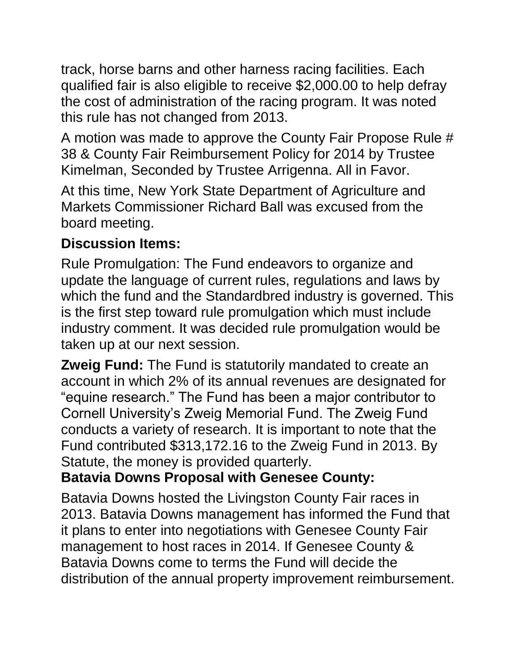track, horse barns and other harness racing facilities. Each qualified fair is also eligible to receive \$2,000.00 to help defray the cost of administration of the racing program. It was noted this rule has not changed from 2013.

A motion was made to approve the County Fair Propose Rule # 38 & County Fair Reimbursement Policy for 2014 by Trustee Kimelman, Seconded by Trustee Arrigenna. All in Favor.

At this time, New York State Department of Agriculture and Markets Commissioner Richard Ball was excused from the board meeting.

## **Discussion Items:**

Rule Promulgation: The Fund endeavors to organize and update the language of current rules, regulations and laws by which the fund and the Standardbred industry is governed. This is the first step toward rule promulgation which must include industry comment. It was decided rule promulgation would be taken up at our next session.

**Zweig Fund:** The Fund is statutorily mandated to create an account in which 2% of its annual revenues are designated for "equine research." The Fund has been a major contributor to Cornell University's Zweig Memorial Fund. The Zweig Fund conducts a variety of research. It is important to note that the Fund contributed \$313,172.16 to the Zweig Fund in 2013. By Statute, the money is provided quarterly.

## **Batavia Downs Proposal with Genesee County:**

Batavia Downs hosted the Livingston County Fair races in 2013. Batavia Downs management has informed the Fund that it plans to enter into negotiations with Genesee County Fair management to host races in 2014. If Genesee County & Batavia Downs come to terms the Fund will decide the distribution of the annual property improvement reimbursement.